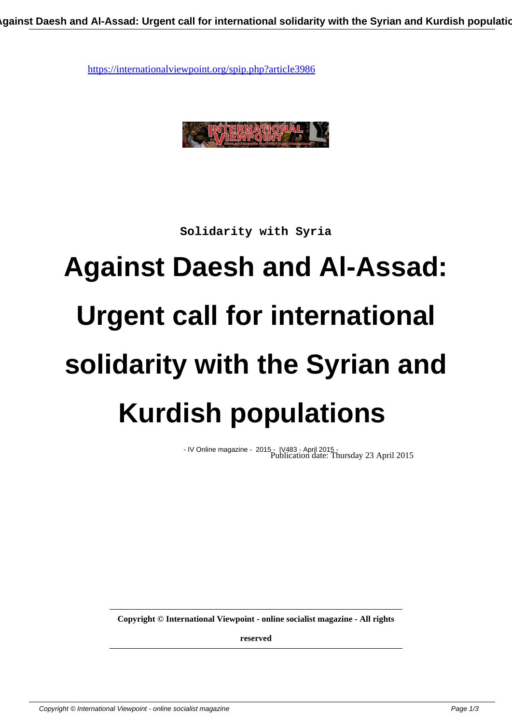

**Solidarity with Syria**

## **Against Daesh and Al-Assad: Urgent call for international solidarity with the Syrian and Kurdish populations**

- IV Online magazine - 2015 - IV483 - April 2015 - Publication date: Thursday 23 April 2015

**Copyright © International Viewpoint - online socialist magazine - All rights**

**reserved**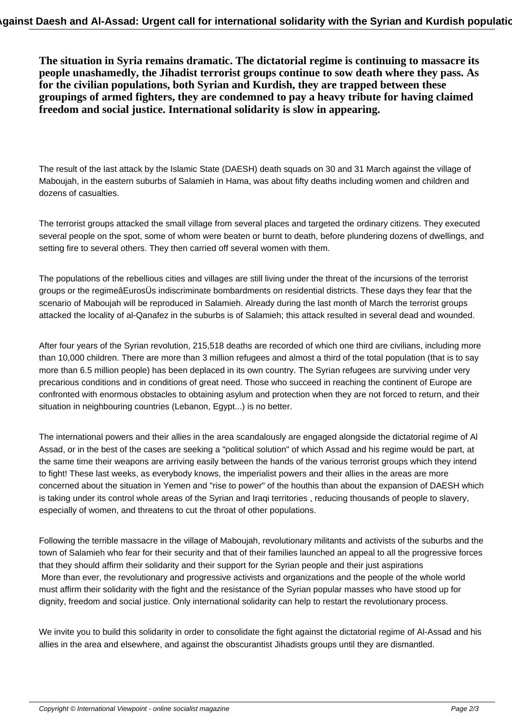**The situation in Syria remains dramatic. The dictatorial regime is continuing to massacre its people unashamedly, the Jihadist terrorist groups continue to sow death where they pass. As for the civilian populations, both Syrian and Kurdish, they are trapped between these groupings of armed fighters, they are condemned to pay a heavy tribute for having claimed freedom and social justice. International solidarity is slow in appearing.**

The result of the last attack by the Islamic State (DAESH) death squads on 30 and 31 March against the village of Maboujah, in the eastern suburbs of Salamieh in Hama, was about fifty deaths including women and children and dozens of casualties.

The terrorist groups attacked the small village from several places and targeted the ordinary citizens. They executed several people on the spot, some of whom were beaten or burnt to death, before plundering dozens of dwellings, and setting fire to several others. They then carried off several women with them.

The populations of the rebellious cities and villages are still living under the threat of the incursions of the terrorist groups or the regimeâEurosÜs indiscriminate bombardments on residential districts. These days they fear that the scenario of Maboujah will be reproduced in Salamieh. Already during the last month of March the terrorist groups attacked the locality of al-Qanafez in the suburbs is of Salamieh; this attack resulted in several dead and wounded.

After four years of the Syrian revolution, 215,518 deaths are recorded of which one third are civilians, including more than 10,000 children. There are more than 3 million refugees and almost a third of the total population (that is to say more than 6.5 million people) has been deplaced in its own country. The Syrian refugees are surviving under very precarious conditions and in conditions of great need. Those who succeed in reaching the continent of Europe are confronted with enormous obstacles to obtaining asylum and protection when they are not forced to return, and their situation in neighbouring countries (Lebanon, Egypt...) is no better.

The international powers and their allies in the area scandalously are engaged alongside the dictatorial regime of Al Assad, or in the best of the cases are seeking a "political solution" of which Assad and his regime would be part, at the same time their weapons are arriving easily between the hands of the various terrorist groups which they intend to fight! These last weeks, as everybody knows, the imperialist powers and their allies in the areas are more concerned about the situation in Yemen and "rise to power" of the houthis than about the expansion of DAESH which is taking under its control whole areas of the Syrian and Iraqi territories , reducing thousands of people to slavery, especially of women, and threatens to cut the throat of other populations.

Following the terrible massacre in the village of Maboujah, revolutionary militants and activists of the suburbs and the town of Salamieh who fear for their security and that of their families launched an appeal to all the progressive forces that they should affirm their solidarity and their support for the Syrian people and their just aspirations More than ever, the revolutionary and progressive activists and organizations and the people of the whole world must affirm their solidarity with the fight and the resistance of the Syrian popular masses who have stood up for dignity, freedom and social justice. Only international solidarity can help to restart the revolutionary process.

We invite you to build this solidarity in order to consolidate the fight against the dictatorial regime of Al-Assad and his allies in the area and elsewhere, and against the obscurantist Jihadists groups until they are dismantled.